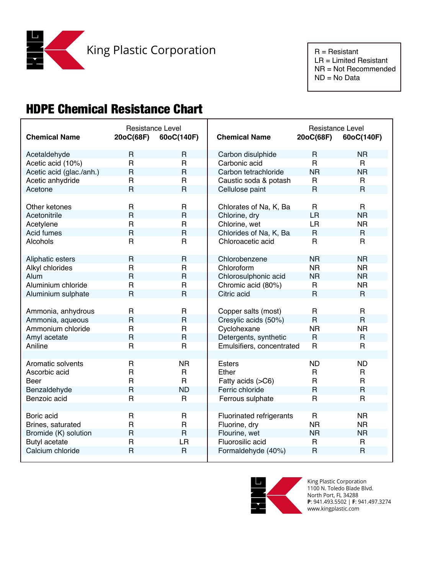

 NR = Not Recommended ND = No Data

## HDPE Chemical Resistance Chart

| <b>Chemical Name</b>     | Resistance Level<br>20oC(68F) | 60oC(140F)     | <b>Chemical Name</b>      | Resistance Level<br>20oC(68F) | 60oC(140F)     |
|--------------------------|-------------------------------|----------------|---------------------------|-------------------------------|----------------|
| Acetaldehyde             | R                             | $\mathsf{R}$   | Carbon disulphide         | R                             | <b>NR</b>      |
| Acetic acid (10%)        | $\mathsf{R}$                  | R              | Carbonic acid             | $\mathsf{R}$                  | R.             |
| Acetic acid (glac./anh.) | $\mathsf{R}$                  | $\mathsf{R}$   | Carbon tetrachloride      | <b>NR</b>                     | <b>NR</b>      |
| Acetic anhydride         | $\mathsf{R}$                  | R              | Caustic soda & potash     | R                             | $\mathsf{R}$   |
| Acetone                  | $\overline{R}$                | $\mathsf{R}$   | Cellulose paint           | $\mathsf{R}$                  | $\mathsf{R}$   |
|                          |                               |                |                           |                               |                |
| Other ketones            | $\mathsf{R}$                  | R              | Chlorates of Na, K, Ba    | R.                            | R.             |
| Acetonitrile             | $\mathsf{R}$                  | $\mathsf{R}$   | Chlorine, dry             | LR                            | <b>NR</b>      |
| Acetylene                | $\mathsf{R}$                  | $\mathsf R$    | Chlorine, wet             | LR                            | <b>NR</b>      |
| Acid fumes               | $\mathsf{R}$                  | $\mathsf{R}$   | Chlorides of Na, K, Ba    | $\mathsf{R}$                  | $\mathsf{R}$   |
| Alcohols                 | $\mathsf{R}$                  | R              | Chloroacetic acid         | $\mathsf{R}$                  | $\mathsf{R}$   |
|                          |                               |                |                           |                               |                |
| Aliphatic esters         | $\mathsf{R}$                  | $\mathsf{R}$   | Chlorobenzene             | <b>NR</b>                     | <b>NR</b>      |
| Alkyl chlorides          | $\mathsf{R}$                  | $\mathsf R$    | Chloroform                | <b>NR</b>                     | <b>NR</b>      |
| Alum                     | $\mathsf R$                   | $\mathsf{R}$   | Chlorosulphonic acid      | <b>NR</b>                     | <b>NR</b>      |
| Aluminium chloride       | $\mathsf{R}$                  | $\mathsf{R}$   | Chromic acid (80%)        | R                             | <b>NR</b>      |
| Aluminium sulphate       | $\overline{R}$                | $\overline{R}$ | Citric acid               | $\mathsf{R}$                  | $\mathsf{R}$   |
|                          |                               |                |                           |                               |                |
| Ammonia, anhydrous       | $\mathsf{R}$                  | R              | Copper salts (most)       | R                             | $\mathsf{R}$   |
| Ammonia, aqueous         | $\mathsf{R}$                  | $\mathsf{R}$   | Cresylic acids (50%)      | $\mathsf{R}$                  | $\mathsf{R}$   |
| Ammonium chloride        | $\mathsf{R}$                  | R              | Cyclohexane               | <b>NR</b>                     | <b>NR</b>      |
| Amyl acetate             | $\overline{R}$                | $\mathsf{R}$   | Detergents, synthetic     | $\mathsf{R}$                  | $\mathsf{R}$   |
| Aniline                  | $\mathsf{R}$                  | R              | Emulsifiers, concentrated | $\mathsf R$                   | $\mathsf{R}$   |
|                          |                               |                |                           |                               |                |
| Aromatic solvents        | R                             | <b>NR</b>      | <b>Esters</b>             | <b>ND</b>                     | <b>ND</b>      |
| Ascorbic acid            | $\mathsf{R}$                  | R              | Ether                     | R                             | R.             |
| Beer                     | $\mathsf{R}$                  | R.             | Fatty acids (>C6)         | R                             | $\mathsf{R}$   |
| Benzaldehyde             | $\mathsf{R}$                  | <b>ND</b>      | Ferric chloride           | R                             | $\mathsf{R}$   |
| Benzoic acid             | $\overline{R}$                | R              | Ferrous sulphate          | $\overline{R}$                | $\overline{R}$ |
|                          |                               |                |                           |                               |                |
| Boric acid               | $\mathsf{R}$                  | R              | Fluorinated refrigerants  | $\mathsf R$                   | <b>NR</b>      |
| Brines, saturated        | $\mathsf{R}$                  | R              | Fluorine, dry             | <b>NR</b>                     | NR.            |
| Bromide (K) solution     | $\mathsf{R}$                  | $\mathsf{R}$   | Flourine, wet             | <b>NR</b>                     | <b>NR</b>      |
| <b>Butyl acetate</b>     | $\mathsf{R}$                  | LR             | Fluorosilic acid          | R                             | $\mathsf{R}$   |
| Calcium chloride         | $\mathsf{R}$                  | $\mathsf{R}$   | Formaldehyde (40%)        | $\mathsf{R}$                  | $\overline{R}$ |
|                          |                               |                |                           |                               |                |



King Plastic Corporation 1100 N. Toledo Blade Blvd. North Port, FL 34288 **P**: 941.493.5502 | **F**: 941.497.3274 www.kingplastic.com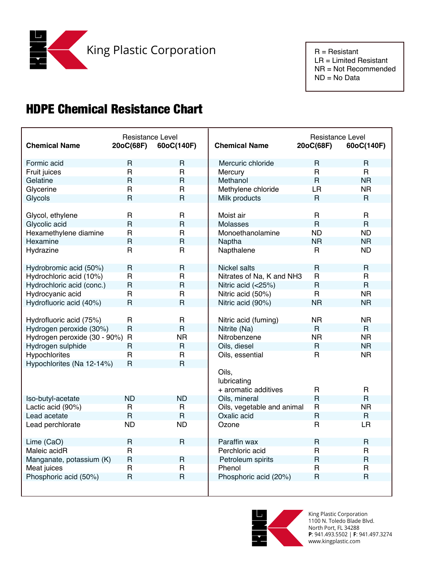NR = Not Recommended ND = No Data

## HDPE Chemical Resistance Chart

| <b>Chemical Name</b>           | Resistance Level<br>20oC(68F) | 60oC(140F)              | <b>Chemical Name</b>       | Resistance Level<br>20oC(68F) | 60oC(140F)     |
|--------------------------------|-------------------------------|-------------------------|----------------------------|-------------------------------|----------------|
| Formic acid                    | $\mathsf{R}$                  | $\mathsf{R}$            | Mercuric chloride          | R                             | $\mathsf{R}$   |
| Fruit juices                   | $\mathsf{R}$                  | $\mathsf{R}$            | Mercury                    | $\mathsf{R}$                  | R              |
| Gelatine                       | $\overline{\mathsf{R}}$       | $\overline{R}$          | Methanol                   | $\overline{R}$                | <b>NR</b>      |
| Glycerine                      | $\mathsf{R}$                  | $\mathsf{R}$            | Methylene chloride         | <b>LR</b>                     | <b>NR</b>      |
| Glycols                        | $\overline{\mathsf{R}}$       | $\overline{R}$          | Milk products              | $\mathsf{R}$                  | $\mathsf{R}$   |
|                                |                               |                         |                            |                               |                |
| Glycol, ethylene               | $\mathsf{R}$                  | $\mathsf{R}$            | Moist air                  | $\mathsf{R}$                  | $\mathsf{R}$   |
| Glycolic acid                  | $\overline{R}$                | $\overline{\mathsf{R}}$ | <b>Molasses</b>            | $\overline{R}$                | $\overline{R}$ |
| Hexamethylene diamine          | $\mathsf{R}$                  | $\mathsf{R}$            | Monoethanolamine           | <b>ND</b>                     | <b>ND</b>      |
| Hexamine                       | $\overline{\mathsf{R}}$       | $\mathsf{R}$            | Naptha                     | <b>NR</b>                     | <b>NR</b>      |
| Hydrazine                      | $\mathsf{R}$                  | $\mathsf{R}$            | Napthalene                 | $\mathsf{R}$                  | <b>ND</b>      |
|                                |                               |                         |                            |                               |                |
| Hydrobromic acid (50%)         | $\mathsf{R}$                  | $\mathsf R$             | <b>Nickel salts</b>        | $\mathsf{R}$                  | $\mathsf{R}$   |
| Hydrochloric acid (10%)        | $\mathsf{R}$                  | $\mathsf R$             | Nitrates of Na, K and NH3  | $\mathsf{R}$                  | $\mathsf{R}$   |
| Hydrochloric acid (conc.)      | $\mathsf{R}$                  | $\overline{\mathsf{R}}$ | Nitric acid (<25%)         | $\overline{R}$                | $\overline{R}$ |
| Hydrocyanic acid               | $\mathsf{R}$                  | $\mathsf{R}$            | Nitric acid (50%)          | $\mathsf{R}$                  | <b>NR</b>      |
| Hydrofluoric acid (40%)        | $\mathsf{R}$                  | $\overline{R}$          | Nitric acid (90%)          | <b>NR</b>                     | <b>NR</b>      |
|                                |                               |                         |                            |                               |                |
| Hydrofluoric acid (75%)        | $\mathsf{R}$                  | $\mathsf{R}$            | Nitric acid (fuming)       | <b>NR</b>                     | <b>NR</b>      |
| Hydrogen peroxide (30%)        | $\mathsf{R}$                  | $\mathsf{R}$            | Nitrite (Na)               | $\mathsf{R}$                  | $\mathsf{R}$   |
| Hydrogen peroxide (30 - 90%) R |                               | <b>NR</b>               | Nitrobenzene               | <b>NR</b>                     | <b>NR</b>      |
| Hydrogen sulphide              | $\mathsf{R}$                  | $\mathsf{R}$            | Oils, diesel               | $\mathsf{R}$                  | <b>NR</b>      |
| Hypochlorites                  | $\mathsf{R}$                  | $\mathsf{R}$            | Oils, essential            | $\mathsf{R}$                  | <b>NR</b>      |
| Hypochlorites (Na 12-14%)      | $\mathsf{R}$                  | $\overline{\mathsf{R}}$ |                            |                               |                |
|                                |                               |                         | Oils,                      |                               |                |
|                                |                               |                         | lubricating                |                               |                |
|                                |                               |                         | + aromatic additives       | $\mathsf{R}$                  | $\mathsf{R}$   |
| Iso-butyl-acetate              | <b>ND</b>                     | <b>ND</b>               | Oils, mineral              | $\overline{R}$                | $\overline{R}$ |
| Lactic acid (90%)              | $\overline{R}$                | R                       | Oils, vegetable and animal | $\overline{R}$                | <b>NR</b>      |
| Lead acetate                   | $\mathsf{R}$                  | $\mathsf{R}$            | Oxalic acid                | $\overline{R}$                | $\mathsf{R}$   |
| Lead perchlorate               | <b>ND</b>                     | <b>ND</b>               | Ozone                      | $\mathsf{R}$                  | <b>LR</b>      |
|                                |                               |                         |                            |                               |                |
| Lime (CaO)                     | $\mathsf{R}$                  | $\overline{R}$          | Paraffin wax               | $\mathsf{R}$                  | $\mathsf{R}$   |
| Maleic acidR                   | $\mathsf{R}$                  |                         | Perchloric acid            | $\mathsf{R}$                  | R              |
| Manganate, potassium (K)       | $\mathsf R$                   | $\mathsf{R}$            | Petroleum spirits          | $\overline{R}$                | $\overline{R}$ |
| Meat juices                    | $\mathsf{R}$                  | $\mathsf{R}$            | Phenol                     | $\mathsf{R}$                  | $\mathsf{R}$   |
| Phosphoric acid (50%)          | $\mathsf{R}$                  | $\overline{R}$          | Phosphoric acid (20%)      | $\mathsf{R}$                  | $\overline{R}$ |
|                                |                               |                         |                            |                               |                |
|                                |                               |                         |                            |                               |                |



King Plastic Corporation 1100 N. Toledo Blade Blvd. North Port, FL 34288 **P**: 941.493.5502 | **F**: 941.497.3274 www.kingplastic.com